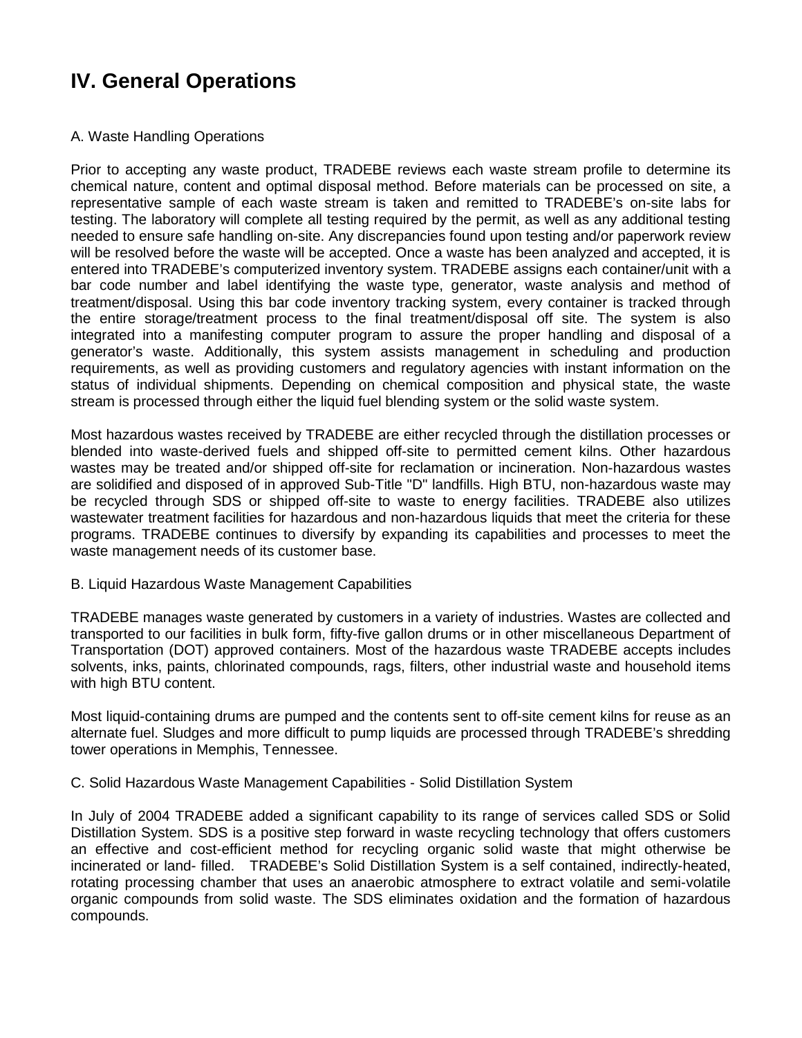# **IV. General Operations**

# A. Waste Handling Operations

Prior to accepting any waste product, TRADEBE reviews each waste stream profile to determine its chemical nature, content and optimal disposal method. Before materials can be processed on site, a representative sample of each waste stream is taken and remitted to TRADEBE's on-site labs for testing. The laboratory will complete all testing required by the permit, as well as any additional testing needed to ensure safe handling on-site. Any discrepancies found upon testing and/or paperwork review will be resolved before the waste will be accepted. Once a waste has been analyzed and accepted, it is entered into TRADEBE's computerized inventory system. TRADEBE assigns each container/unit with a bar code number and label identifying the waste type, generator, waste analysis and method of treatment/disposal. Using this bar code inventory tracking system, every container is tracked through the entire storage/treatment process to the final treatment/disposal off site. The system is also integrated into a manifesting computer program to assure the proper handling and disposal of a generator's waste. Additionally, this system assists management in scheduling and production requirements, as well as providing customers and regulatory agencies with instant information on the status of individual shipments. Depending on chemical composition and physical state, the waste stream is processed through either the liquid fuel blending system or the solid waste system.

Most hazardous wastes received by TRADEBE are either recycled through the distillation processes or blended into waste-derived fuels and shipped off-site to permitted cement kilns. Other hazardous wastes may be treated and/or shipped off-site for reclamation or incineration. Non-hazardous wastes are solidified and disposed of in approved Sub-Title "D" landfills. High BTU, non-hazardous waste may be recycled through SDS or shipped off-site to waste to energy facilities. TRADEBE also utilizes wastewater treatment facilities for hazardous and non-hazardous liquids that meet the criteria for these programs. TRADEBE continues to diversify by expanding its capabilities and processes to meet the waste management needs of its customer base.

B. Liquid Hazardous Waste Management Capabilities

TRADEBE manages waste generated by customers in a variety of industries. Wastes are collected and transported to our facilities in bulk form, fifty-five gallon drums or in other miscellaneous Department of Transportation (DOT) approved containers. Most of the hazardous waste TRADEBE accepts includes solvents, inks, paints, chlorinated compounds, rags, filters, other industrial waste and household items with high BTU content.

Most liquid-containing drums are pumped and the contents sent to off-site cement kilns for reuse as an alternate fuel. Sludges and more difficult to pump liquids are processed through TRADEBE's shredding tower operations in Memphis, Tennessee.

C. Solid Hazardous Waste Management Capabilities - Solid Distillation System

In July of 2004 TRADEBE added a significant capability to its range of services called SDS or Solid Distillation System. SDS is a positive step forward in waste recycling technology that offers customers an effective and cost-efficient method for recycling organic solid waste that might otherwise be incinerated or land- filled. TRADEBE's Solid Distillation System is a self contained, indirectly-heated, rotating processing chamber that uses an anaerobic atmosphere to extract volatile and semi-volatile organic compounds from solid waste. The SDS eliminates oxidation and the formation of hazardous compounds.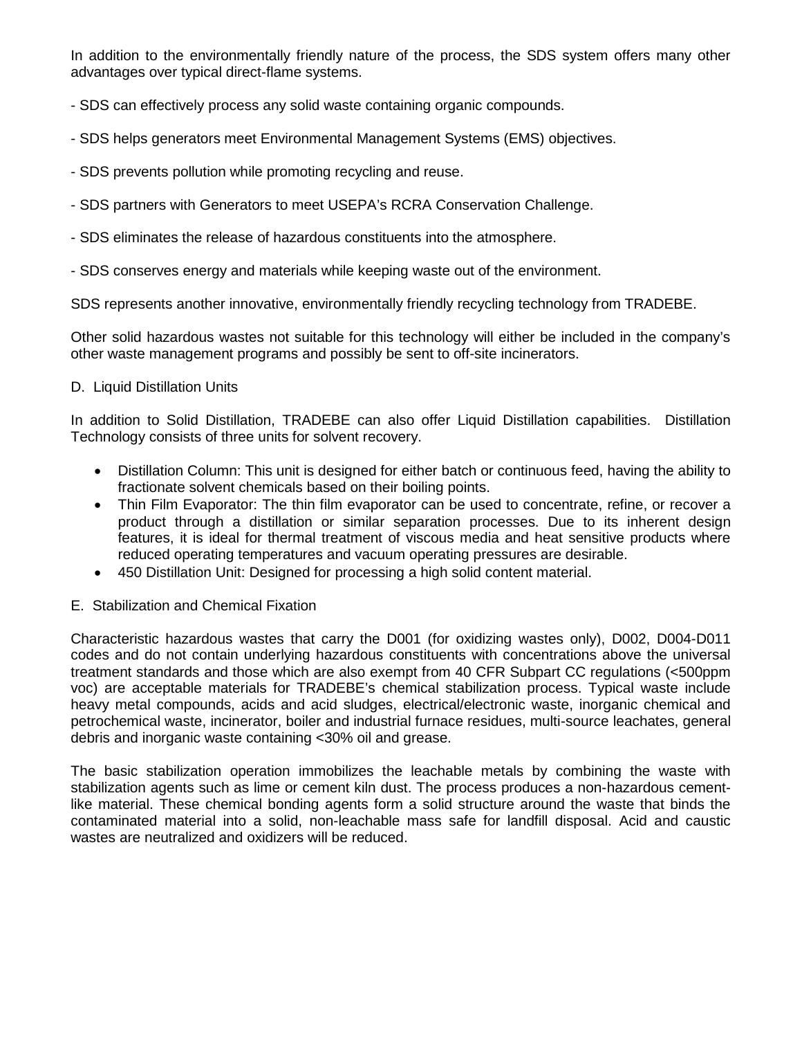In addition to the environmentally friendly nature of the process, the SDS system offers many other advantages over typical direct-flame systems.

- SDS can effectively process any solid waste containing organic compounds.
- SDS helps generators meet Environmental Management Systems (EMS) objectives.
- SDS prevents pollution while promoting recycling and reuse.
- SDS partners with Generators to meet USEPA's RCRA Conservation Challenge.
- SDS eliminates the release of hazardous constituents into the atmosphere.
- SDS conserves energy and materials while keeping waste out of the environment.

SDS represents another innovative, environmentally friendly recycling technology from TRADEBE.

Other solid hazardous wastes not suitable for this technology will either be included in the company's other waste management programs and possibly be sent to off-site incinerators.

#### D. Liquid Distillation Units

In addition to Solid Distillation, TRADEBE can also offer Liquid Distillation capabilities. Distillation Technology consists of three units for solvent recovery.

- Distillation Column: This unit is designed for either batch or continuous feed, having the ability to fractionate solvent chemicals based on their boiling points.
- Thin Film Evaporator: The thin film evaporator can be used to concentrate, refine, or recover a product through a distillation or similar separation processes. Due to its inherent design features, it is ideal for thermal treatment of viscous media and heat sensitive products where reduced operating temperatures and vacuum operating pressures are desirable.
- 450 Distillation Unit: Designed for processing a high solid content material.
- E. Stabilization and Chemical Fixation

Characteristic hazardous wastes that carry the D001 (for oxidizing wastes only), D002, D004-D011 codes and do not contain underlying hazardous constituents with concentrations above the universal treatment standards and those which are also exempt from 40 CFR Subpart CC regulations (<500ppm voc) are acceptable materials for TRADEBE's chemical stabilization process. Typical waste include heavy metal compounds, acids and acid sludges, electrical/electronic waste, inorganic chemical and petrochemical waste, incinerator, boiler and industrial furnace residues, multi-source leachates, general debris and inorganic waste containing <30% oil and grease.

The basic stabilization operation immobilizes the leachable metals by combining the waste with stabilization agents such as lime or cement kiln dust. The process produces a non-hazardous cementlike material. These chemical bonding agents form a solid structure around the waste that binds the contaminated material into a solid, non-leachable mass safe for landfill disposal. Acid and caustic wastes are neutralized and oxidizers will be reduced.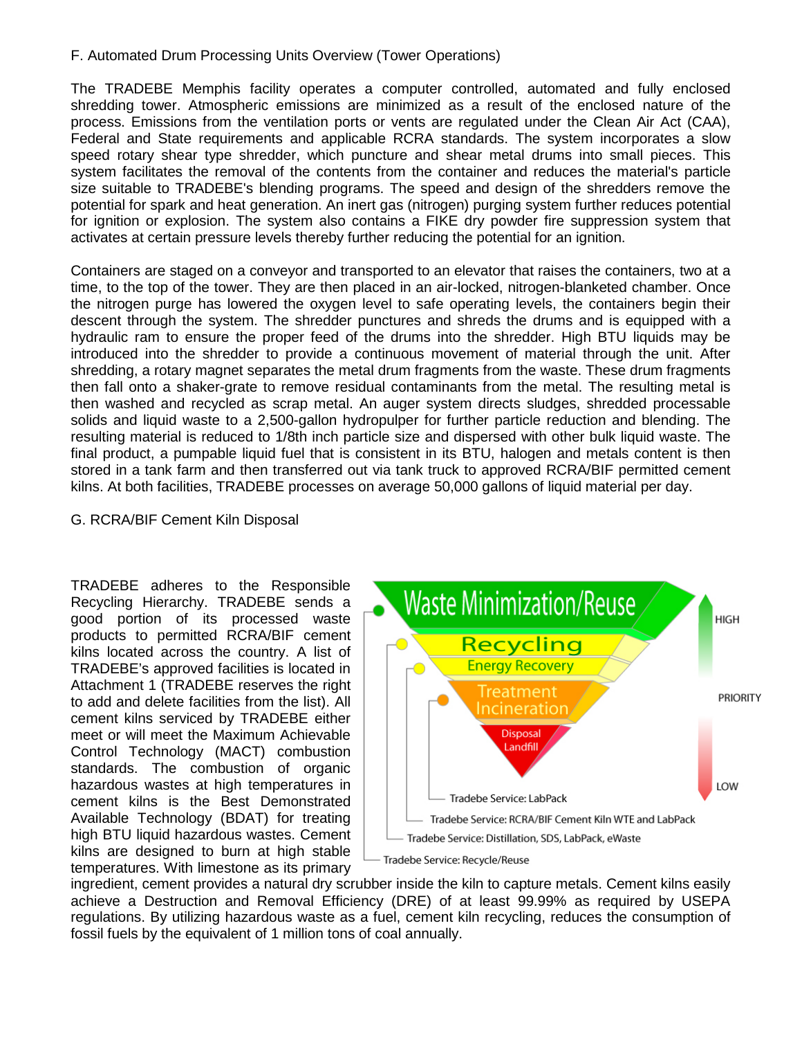# F. Automated Drum Processing Units Overview (Tower Operations)

The TRADEBE Memphis facility operates a computer controlled, automated and fully enclosed shredding tower. Atmospheric emissions are minimized as a result of the enclosed nature of the process. Emissions from the ventilation ports or vents are regulated under the Clean Air Act (CAA), Federal and State requirements and applicable RCRA standards. The system incorporates a slow speed rotary shear type shredder, which puncture and shear metal drums into small pieces. This system facilitates the removal of the contents from the container and reduces the material's particle size suitable to TRADEBE's blending programs. The speed and design of the shredders remove the potential for spark and heat generation. An inert gas (nitrogen) purging system further reduces potential for ignition or explosion. The system also contains a FIKE dry powder fire suppression system that activates at certain pressure levels thereby further reducing the potential for an ignition.

Containers are staged on a conveyor and transported to an elevator that raises the containers, two at a time, to the top of the tower. They are then placed in an air-locked, nitrogen-blanketed chamber. Once the nitrogen purge has lowered the oxygen level to safe operating levels, the containers begin their descent through the system. The shredder punctures and shreds the drums and is equipped with a hydraulic ram to ensure the proper feed of the drums into the shredder. High BTU liquids may be introduced into the shredder to provide a continuous movement of material through the unit. After shredding, a rotary magnet separates the metal drum fragments from the waste. These drum fragments then fall onto a shaker-grate to remove residual contaminants from the metal. The resulting metal is then washed and recycled as scrap metal. An auger system directs sludges, shredded processable solids and liquid waste to a 2,500-gallon hydropulper for further particle reduction and blending. The resulting material is reduced to 1/8th inch particle size and dispersed with other bulk liquid waste. The final product, a pumpable liquid fuel that is consistent in its BTU, halogen and metals content is then stored in a tank farm and then transferred out via tank truck to approved RCRA/BIF permitted cement kilns. At both facilities, TRADEBE processes on average 50,000 gallons of liquid material per day.

# G. RCRA/BIF Cement Kiln Disposal

TRADEBE adheres to the Responsible Recycling Hierarchy. TRADEBE sends a good portion of its processed waste products to permitted RCRA/BIF cement kilns located across the country. A list of TRADEBE's approved facilities is located in Attachment 1 (TRADEBE reserves the right to add and delete facilities from the list). All cement kilns serviced by TRADEBE either meet or will meet the Maximum Achievable Control Technology (MACT) combustion standards. The combustion of organic hazardous wastes at high temperatures in cement kilns is the Best Demonstrated Available Technology (BDAT) for treating high BTU liquid hazardous wastes. Cement kilns are designed to burn at high stable temperatures. With limestone as its primary



ingredient, cement provides a natural dry scrubber inside the kiln to capture metals. Cement kilns easily achieve a Destruction and Removal Efficiency (DRE) of at least 99.99% as required by USEPA regulations. By utilizing hazardous waste as a fuel, cement kiln recycling, reduces the consumption of fossil fuels by the equivalent of 1 million tons of coal annually.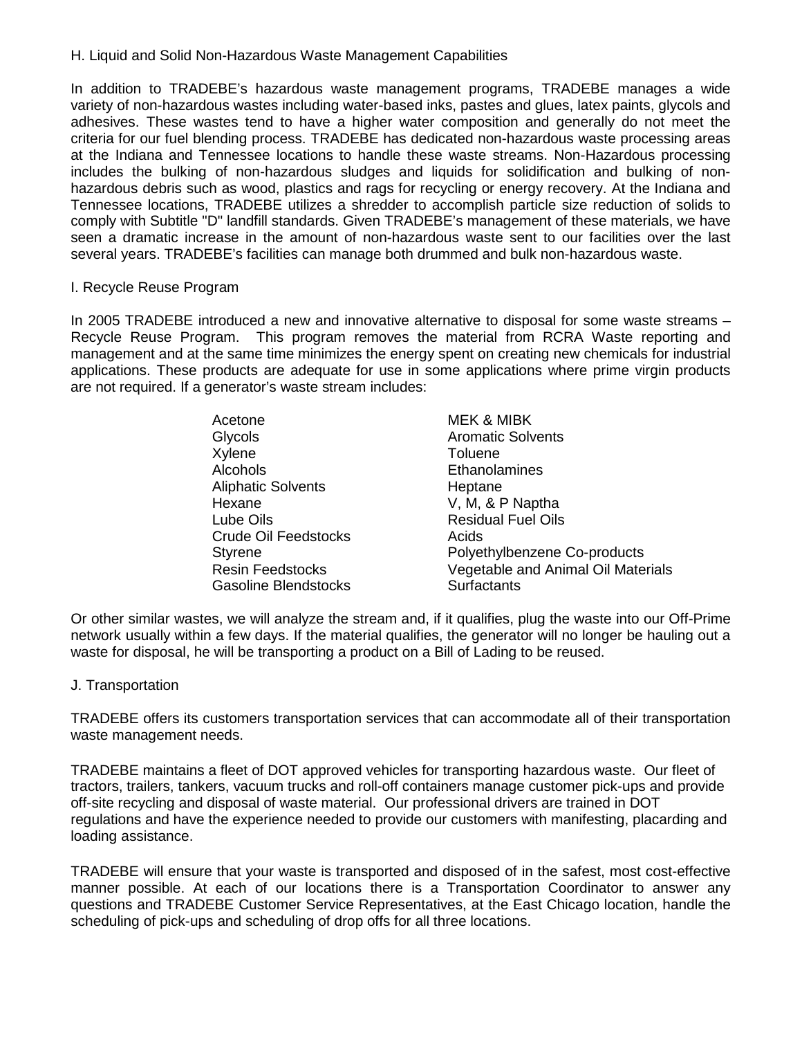#### H. Liquid and Solid Non-Hazardous Waste Management Capabilities

In addition to TRADEBE's hazardous waste management programs, TRADEBE manages a wide variety of non-hazardous wastes including water-based inks, pastes and glues, latex paints, glycols and adhesives. These wastes tend to have a higher water composition and generally do not meet the criteria for our fuel blending process. TRADEBE has dedicated non-hazardous waste processing areas at the Indiana and Tennessee locations to handle these waste streams. Non-Hazardous processing includes the bulking of non-hazardous sludges and liquids for solidification and bulking of nonhazardous debris such as wood, plastics and rags for recycling or energy recovery. At the Indiana and Tennessee locations, TRADEBE utilizes a shredder to accomplish particle size reduction of solids to comply with Subtitle "D" landfill standards. Given TRADEBE's management of these materials, we have seen a dramatic increase in the amount of non-hazardous waste sent to our facilities over the last several years. TRADEBE's facilities can manage both drummed and bulk non-hazardous waste.

#### I. Recycle Reuse Program

In 2005 TRADEBE introduced a new and innovative alternative to disposal for some waste streams – Recycle Reuse Program. This program removes the material from RCRA Waste reporting and management and at the same time minimizes the energy spent on creating new chemicals for industrial applications. These products are adequate for use in some applications where prime virgin products are not required. If a generator's waste stream includes:

| Acetone                     | <b>MEK &amp; MIBK</b>              |
|-----------------------------|------------------------------------|
| Glycols                     | <b>Aromatic Solvents</b>           |
| Xylene                      | Toluene                            |
| Alcohols                    | Ethanolamines                      |
| <b>Aliphatic Solvents</b>   | Heptane                            |
| Hexane                      | V, M, & P Naptha                   |
| Lube Oils                   | <b>Residual Fuel Oils</b>          |
| Crude Oil Feedstocks        | Acids                              |
| <b>Styrene</b>              | Polyethylbenzene Co-products       |
| <b>Resin Feedstocks</b>     | Vegetable and Animal Oil Materials |
| <b>Gasoline Blendstocks</b> | <b>Surfactants</b>                 |

Or other similar wastes, we will analyze the stream and, if it qualifies, plug the waste into our Off-Prime network usually within a few days. If the material qualifies, the generator will no longer be hauling out a waste for disposal, he will be transporting a product on a Bill of Lading to be reused.

# J. Transportation

TRADEBE offers its customers transportation services that can accommodate all of their transportation waste management needs.

TRADEBE maintains a fleet of DOT approved vehicles for transporting hazardous waste. Our fleet of tractors, trailers, tankers, vacuum trucks and roll-off containers manage customer pick-ups and provide off-site recycling and disposal of waste material. Our professional drivers are trained in DOT regulations and have the experience needed to provide our customers with manifesting, placarding and loading assistance.

TRADEBE will ensure that your waste is transported and disposed of in the safest, most cost-effective manner possible. At each of our locations there is a Transportation Coordinator to answer any questions and TRADEBE Customer Service Representatives, at the East Chicago location, handle the scheduling of pick-ups and scheduling of drop offs for all three locations.